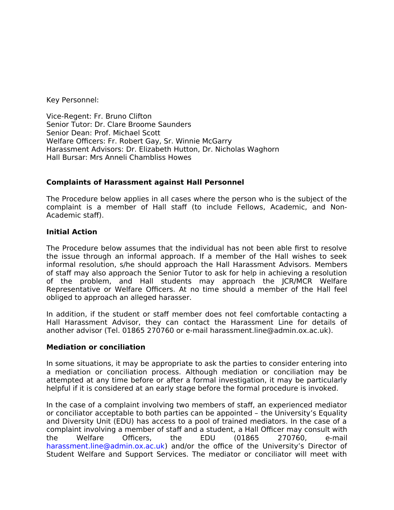Key Personnel:

Vice-Regent: Fr. Bruno Clifton Senior Tutor: Dr. Clare Broome Saunders Senior Dean: Prof. Michael Scott Welfare Officers: Fr. Robert Gay, Sr. Winnie McGarry Harassment Advisors: Dr. Elizabeth Hutton, Dr. Nicholas Waghorn Hall Bursar: Mrs Anneli Chambliss Howes

### **Complaints of Harassment against Hall Personnel**

The Procedure below applies in all cases where the person who is the subject of the complaint is a member of Hall staff (to include Fellows, Academic, and Non-Academic staff).

#### **Initial Action**

The Procedure below assumes that the individual has not been able first to resolve the issue through an informal approach. If a member of the Hall wishes to seek informal resolution, s/he should approach the Hall Harassment Advisors. Members of staff may also approach the Senior Tutor to ask for help in achieving a resolution of the problem, and Hall students may approach the JCR/MCR Welfare Representative or Welfare Officers. At no time should a member of the Hall feel obliged to approach an alleged harasser.

In addition, if the student or staff member does not feel comfortable contacting a Hall Harassment Advisor, they can contact the Harassment Line for details of another advisor (Tel. 01865 270760 or e-mail harassment.line@admin.ox.ac.uk).

#### **Mediation or conciliation**

In some situations, it may be appropriate to ask the parties to consider entering into a mediation or conciliation process. Although mediation or conciliation may be attempted at any time before or after a formal investigation, it may be particularly helpful if it is considered at an early stage before the formal procedure is invoked.

In the case of a complaint involving two members of staff, an experienced mediator or conciliator acceptable to both parties can be appointed – the University's Equality and Diversity Unit (EDU) has access to a pool of trained mediators. In the case of a complaint involving a member of staff and a student, a Hall Officer may consult with the Welfare Officers, the EDU (01865 270760, e-mail harassment.line@admin.ox.ac.uk) and/or the office of the University's Director of Student Welfare and Support Services. The mediator or conciliator will meet with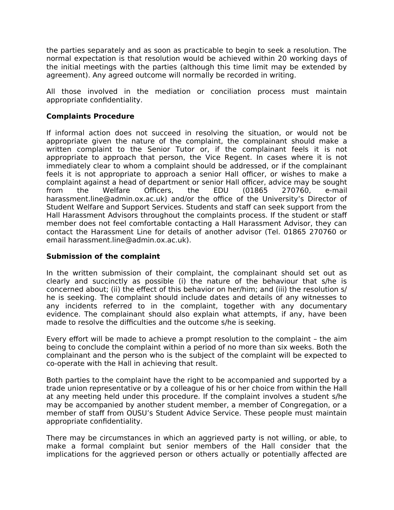the parties separately and as soon as practicable to begin to seek a resolution. The normal expectation is that resolution would be achieved within 20 working days of the initial meetings with the parties (although this time limit may be extended by agreement). Any agreed outcome will normally be recorded in writing.

All those involved in the mediation or conciliation process must maintain appropriate confidentiality.

# **Complaints Procedure**

If informal action does not succeed in resolving the situation, or would not be appropriate given the nature of the complaint, the complainant should make a written complaint to the Senior Tutor or, if the complainant feels it is not appropriate to approach that person, the Vice Regent. In cases where it is not immediately clear to whom a complaint should be addressed, or if the complainant feels it is not appropriate to approach a senior Hall officer, or wishes to make a complaint against a head of department or senior Hall officer, advice may be sought from the Welfare Officers, the EDU (01865 270760, e-mail harassment.line@admin.ox.ac.uk) and/or the office of the University's Director of Student Welfare and Support Services. Students and staff can seek support from the Hall Harassment Advisors throughout the complaints process. If the student or staff member does not feel comfortable contacting a Hall Harassment Advisor, they can contact the Harassment Line for details of another advisor (Tel. 01865 270760 or email harassment.line@admin.ox.ac.uk).

# **Submission of the complaint**

In the written submission of their complaint, the complainant should set out as clearly and succinctly as possible (i) the nature of the behaviour that s/he is concerned about; (ii) the effect of this behavior on her/him; and (iii) the resolution s/ he is seeking. The complaint should include dates and details of any witnesses to any incidents referred to in the complaint, together with any documentary evidence. The complainant should also explain what attempts, if any, have been made to resolve the difficulties and the outcome s/he is seeking.

Every effort will be made to achieve a prompt resolution to the complaint – the aim being to conclude the complaint within a period of no more than six weeks. Both the complainant and the person who is the subject of the complaint will be expected to co-operate with the Hall in achieving that result.

Both parties to the complaint have the right to be accompanied and supported by a trade union representative or by a colleague of his or her choice from within the Hall at any meeting held under this procedure. If the complaint involves a student s/he may be accompanied by another student member, a member of Congregation, or a member of staff from OUSU's Student Advice Service. These people must maintain appropriate confidentiality.

There may be circumstances in which an aggrieved party is not willing, or able, to make a formal complaint but senior members of the Hall consider that the implications for the aggrieved person or others actually or potentially affected are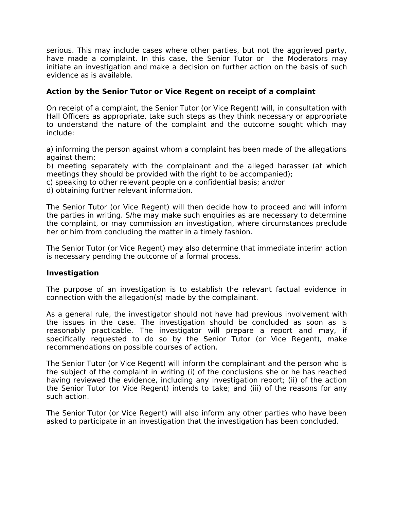serious. This may include cases where other parties, but not the aggrieved party, have made a complaint. In this case, the Senior Tutor or the Moderators may initiate an investigation and make a decision on further action on the basis of such evidence as is available.

# **Action by the Senior Tutor or Vice Regent on receipt of a complaint**

On receipt of a complaint, the Senior Tutor (or Vice Regent) will, in consultation with Hall Officers as appropriate, take such steps as they think necessary or appropriate to understand the nature of the complaint and the outcome sought which may include:

a) informing the person against whom a complaint has been made of the allegations against them;

b) meeting separately with the complainant and the alleged harasser (at which meetings they should be provided with the right to be accompanied);

c) speaking to other relevant people on a confidential basis; and/or

d) obtaining further relevant information.

The Senior Tutor (or Vice Regent) will then decide how to proceed and will inform the parties in writing. S/he may make such enquiries as are necessary to determine the complaint, or may commission an investigation, where circumstances preclude her or him from concluding the matter in a timely fashion.

The Senior Tutor (or Vice Regent) may also determine that immediate interim action is necessary pending the outcome of a formal process.

#### **Investigation**

The purpose of an investigation is to establish the relevant factual evidence in connection with the allegation(s) made by the complainant.

As a general rule, the investigator should not have had previous involvement with the issues in the case. The investigation should be concluded as soon as is reasonably practicable. The investigator will prepare a report and may, if specifically requested to do so by the Senior Tutor (or Vice Regent), make recommendations on possible courses of action.

The Senior Tutor (or Vice Regent) will inform the complainant and the person who is the subject of the complaint in writing (i) of the conclusions she or he has reached having reviewed the evidence, including any investigation report; (ii) of the action the Senior Tutor (or Vice Regent) intends to take; and (iii) of the reasons for any such action.

The Senior Tutor (or Vice Regent) will also inform any other parties who have been asked to participate in an investigation that the investigation has been concluded.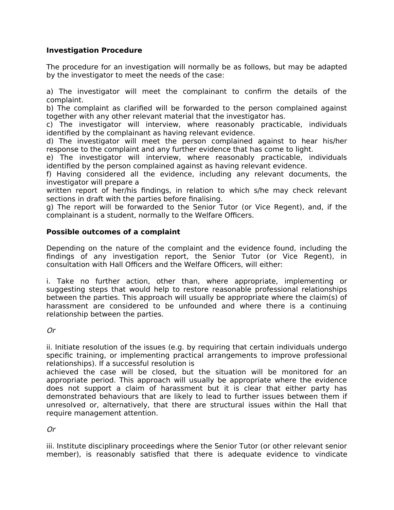# **Investigation Procedure**

The procedure for an investigation will normally be as follows, but may be adapted by the investigator to meet the needs of the case:

a) The investigator will meet the complainant to confirm the details of the complaint.

b) The complaint as clarified will be forwarded to the person complained against together with any other relevant material that the investigator has.

c) The investigator will interview, where reasonably practicable, individuals identified by the complainant as having relevant evidence.

d) The investigator will meet the person complained against to hear his/her response to the complaint and any further evidence that has come to light.

e) The investigator will interview, where reasonably practicable, individuals identified by the person complained against as having relevant evidence.

f) Having considered all the evidence, including any relevant documents, the investigator will prepare a

written report of her/his findings, in relation to which s/he may check relevant sections in draft with the parties before finalising.

g) The report will be forwarded to the Senior Tutor (or Vice Regent), and, if the complainant is a student, normally to the Welfare Officers.

# **Possible outcomes of a complaint**

Depending on the nature of the complaint and the evidence found, including the findings of any investigation report, the Senior Tutor (or Vice Regent), in consultation with Hall Officers and the Welfare Officers, will either:

i. Take no further action, other than, where appropriate, implementing or suggesting steps that would help to restore reasonable professional relationships between the parties. This approach will usually be appropriate where the claim(s) of harassment are considered to be unfounded and where there is a continuing relationship between the parties.

Or

ii. Initiate resolution of the issues (e.g. by requiring that certain individuals undergo specific training, or implementing practical arrangements to improve professional relationships). If a successful resolution is

achieved the case will be closed, but the situation will be monitored for an appropriate period. This approach will usually be appropriate where the evidence does not support a claim of harassment but it is clear that either party has demonstrated behaviours that are likely to lead to further issues between them if unresolved or, alternatively, that there are structural issues within the Hall that require management attention.

Or

iii. Institute disciplinary proceedings where the Senior Tutor (or other relevant senior member), is reasonably satisfied that there is adequate evidence to vindicate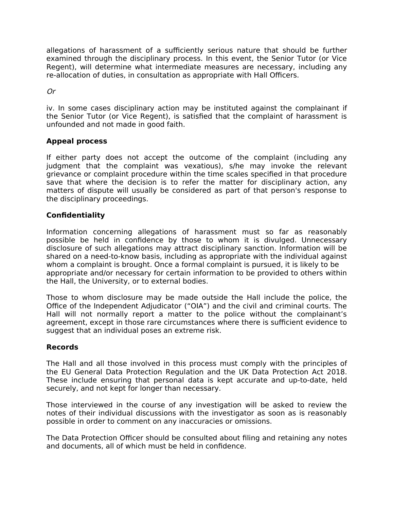allegations of harassment of a sufficiently serious nature that should be further examined through the disciplinary process. In this event, the Senior Tutor (or Vice Regent), will determine what intermediate measures are necessary, including any re-allocation of duties, in consultation as appropriate with Hall Officers.

Or

iv. In some cases disciplinary action may be instituted against the complainant if the Senior Tutor (or Vice Regent), is satisfied that the complaint of harassment is unfounded and not made in good faith.

# **Appeal process**

If either party does not accept the outcome of the complaint (including any judgment that the complaint was vexatious), s/he may invoke the relevant grievance or complaint procedure within the time scales specified in that procedure save that where the decision is to refer the matter for disciplinary action, any matters of dispute will usually be considered as part of that person's response to the disciplinary proceedings.

# **Confidentiality**

Information concerning allegations of harassment must so far as reasonably possible be held in confidence by those to whom it is divulged. Unnecessary disclosure of such allegations may attract disciplinary sanction. Information will be shared on a need-to-know basis, including as appropriate with the individual against whom a complaint is brought. Once a formal complaint is pursued, it is likely to be appropriate and/or necessary for certain information to be provided to others within the Hall, the University, or to external bodies.

Those to whom disclosure may be made outside the Hall include the police, the Office of the Independent Adjudicator ("OIA") and the civil and criminal courts. The Hall will not normally report a matter to the police without the complainant's agreement, except in those rare circumstances where there is sufficient evidence to suggest that an individual poses an extreme risk.

#### **Records**

The Hall and all those involved in this process must comply with the principles of the EU General Data Protection Regulation and the UK Data Protection Act 2018. These include ensuring that personal data is kept accurate and up-to-date, held securely, and not kept for longer than necessary.

Those interviewed in the course of any investigation will be asked to review the notes of their individual discussions with the investigator as soon as is reasonably possible in order to comment on any inaccuracies or omissions.

The Data Protection Officer should be consulted about filing and retaining any notes and documents, all of which must be held in confidence.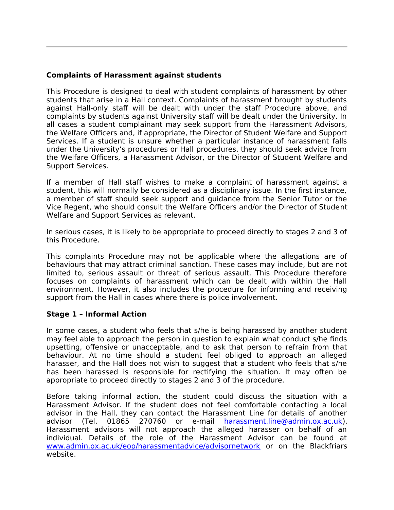# **Complaints of Harassment against students**

This Procedure is designed to deal with student complaints of harassment by other students that arise in a Hall context. Complaints of harassment brought by students against Hall-only staff will be dealt with under the staff Procedure above, and complaints by students against University staff will be dealt under the University. In all cases a student complainant may seek support from the Harassment Advisors, the Welfare Officers and, if appropriate, the Director of Student Welfare and Support Services. If a student is unsure whether a particular instance of harassment falls under the University's procedures or Hall procedures, they should seek advice from the Welfare Officers, a Harassment Advisor, or the Director of Student Welfare and Support Services.

If a member of Hall staff wishes to make a complaint of harassment against a student, this will normally be considered as a disciplinary issue. In the first instance, a member of staff should seek support and guidance from the Senior Tutor or the Vice Regent, who should consult the Welfare Officers and/or the Director of Student Welfare and Support Services as relevant.

In serious cases, it is likely to be appropriate to proceed directly to stages 2 and 3 of this Procedure.

This complaints Procedure may not be applicable where the allegations are of behaviours that may attract criminal sanction. These cases may include, but are not limited to, serious assault or threat of serious assault. This Procedure therefore focuses on complaints of harassment which can be dealt with within the Hall environment. However, it also includes the procedure for informing and receiving support from the Hall in cases where there is police involvement.

#### **Stage 1 – Informal Action**

In some cases, a student who feels that s/he is being harassed by another student may feel able to approach the person in question to explain what conduct s/he finds upsetting, offensive or unacceptable, and to ask that person to refrain from that behaviour. At no time should a student feel obliged to approach an alleged harasser, and the Hall does not wish to suggest that a student who feels that s/he has been harassed is responsible for rectifying the situation. It may often be appropriate to proceed directly to stages 2 and 3 of the procedure.

Before taking informal action, the student could discuss the situation with a Harassment Advisor. If the student does not feel comfortable contacting a local advisor in the Hall, they can contact the Harassment Line for details of another advisor (Tel. 01865 270760 or e-mail harassment.line@admin.ox.ac.uk). Harassment advisors will not approach the alleged harasser on behalf of an individual. Details of the role of the Harassment Advisor can be found at [www.admin.ox.ac.uk/eop/harassmentadvice/advisornetwork](http://www.admin.ox.ac.uk/eop/harassmentadvice/advisornetwork) or on the Blackfriars website.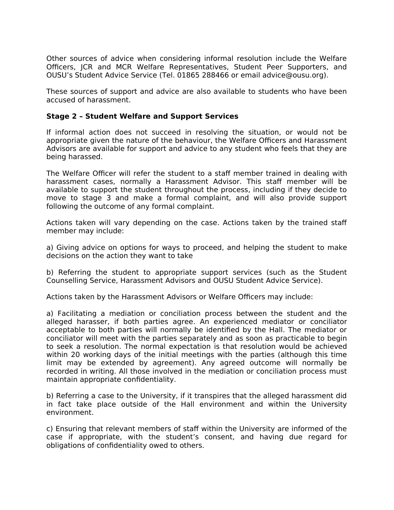Other sources of advice when considering informal resolution include the Welfare Officers, JCR and MCR Welfare Representatives, Student Peer Supporters, and OUSU's Student Advice Service (Tel. 01865 288466 or email advice@ousu.org).

These sources of support and advice are also available to students who have been accused of harassment.

#### **Stage 2 – Student Welfare and Support Services**

If informal action does not succeed in resolving the situation, or would not be appropriate given the nature of the behaviour, the Welfare Officers and Harassment Advisors are available for support and advice to any student who feels that they are being harassed.

The Welfare Officer will refer the student to a staff member trained in dealing with harassment cases, normally a Harassment Advisor. This staff member will be available to support the student throughout the process, including if they decide to move to stage 3 and make a formal complaint, and will also provide support following the outcome of any formal complaint.

Actions taken will vary depending on the case. Actions taken by the trained staff member may include:

a) Giving advice on options for ways to proceed, and helping the student to make decisions on the action they want to take

b) Referring the student to appropriate support services (such as the Student Counselling Service, Harassment Advisors and OUSU Student Advice Service).

Actions taken by the Harassment Advisors or Welfare Officers may include:

a) Facilitating a mediation or conciliation process between the student and the alleged harasser, if both parties agree. An experienced mediator or conciliator acceptable to both parties will normally be identified by the Hall. The mediator or conciliator will meet with the parties separately and as soon as practicable to begin to seek a resolution. The normal expectation is that resolution would be achieved within 20 working days of the initial meetings with the parties (although this time limit may be extended by agreement). Any agreed outcome will normally be recorded in writing. All those involved in the mediation or conciliation process must maintain appropriate confidentiality.

b) Referring a case to the University, if it transpires that the alleged harassment did in fact take place outside of the Hall environment and within the University environment.

c) Ensuring that relevant members of staff within the University are informed of the case if appropriate, with the student's consent, and having due regard for obligations of confidentiality owed to others.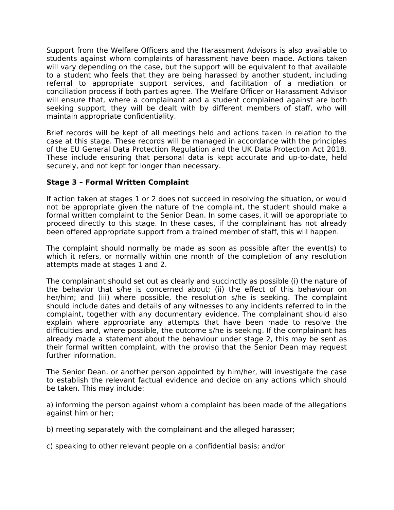Support from the Welfare Officers and the Harassment Advisors is also available to students against whom complaints of harassment have been made. Actions taken will vary depending on the case, but the support will be equivalent to that available to a student who feels that they are being harassed by another student, including referral to appropriate support services, and facilitation of a mediation or conciliation process if both parties agree. The Welfare Officer or Harassment Advisor will ensure that, where a complainant and a student complained against are both seeking support, they will be dealt with by different members of staff, who will maintain appropriate confidentiality.

Brief records will be kept of all meetings held and actions taken in relation to the case at this stage. These records will be managed in accordance with the principles of the EU General Data Protection Regulation and the UK Data Protection Act 2018. These include ensuring that personal data is kept accurate and up-to-date, held securely, and not kept for longer than necessary.

# **Stage 3 – Formal Written Complaint**

If action taken at stages 1 or 2 does not succeed in resolving the situation, or would not be appropriate given the nature of the complaint, the student should make a formal written complaint to the Senior Dean. In some cases, it will be appropriate to proceed directly to this stage. In these cases, if the complainant has not already been offered appropriate support from a trained member of staff, this will happen.

The complaint should normally be made as soon as possible after the event(s) to which it refers, or normally within one month of the completion of any resolution attempts made at stages 1 and 2.

The complainant should set out as clearly and succinctly as possible (i) the nature of the behavior that s/he is concerned about; (ii) the effect of this behaviour on her/him; and (iii) where possible, the resolution s/he is seeking. The complaint should include dates and details of any witnesses to any incidents referred to in the complaint, together with any documentary evidence. The complainant should also explain where appropriate any attempts that have been made to resolve the difficulties and, where possible, the outcome s/he is seeking. If the complainant has already made a statement about the behaviour under stage 2, this may be sent as their formal written complaint, with the proviso that the Senior Dean may request further information.

The Senior Dean, or another person appointed by him/her, will investigate the case to establish the relevant factual evidence and decide on any actions which should be taken. This may include:

a) informing the person against whom a complaint has been made of the allegations against him or her;

- b) meeting separately with the complainant and the alleged harasser;
- c) speaking to other relevant people on a confidential basis; and/or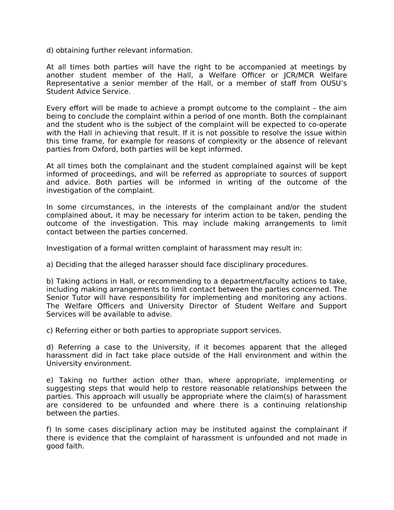d) obtaining further relevant information.

At all times both parties will have the right to be accompanied at meetings by another student member of the Hall, a Welfare Officer or JCR/MCR Welfare Representative a senior member of the Hall, or a member of staff from OUSU's Student Advice Service.

Every effort will be made to achieve a prompt outcome to the complaint – the aim being to conclude the complaint within a period of one month. Both the complainant and the student who is the subject of the complaint will be expected to co-operate with the Hall in achieving that result. If it is not possible to resolve the issue within this time frame, for example for reasons of complexity or the absence of relevant parties from Oxford, both parties will be kept informed.

At all times both the complainant and the student complained against will be kept informed of proceedings, and will be referred as appropriate to sources of support and advice. Both parties will be informed in writing of the outcome of the investigation of the complaint.

In some circumstances, in the interests of the complainant and/or the student complained about, it may be necessary for interim action to be taken, pending the outcome of the investigation. This may include making arrangements to limit contact between the parties concerned.

Investigation of a formal written complaint of harassment may result in:

a) Deciding that the alleged harasser should face disciplinary procedures.

b) Taking actions in Hall, or recommending to a department/faculty actions to take, including making arrangements to limit contact between the parties concerned. The Senior Tutor will have responsibility for implementing and monitoring any actions. The Welfare Officers and University Director of Student Welfare and Support Services will be available to advise.

c) Referring either or both parties to appropriate support services.

d) Referring a case to the University, if it becomes apparent that the alleged harassment did in fact take place outside of the Hall environment and within the University environment.

e) Taking no further action other than, where appropriate, implementing or suggesting steps that would help to restore reasonable relationships between the parties. This approach will usually be appropriate where the claim(s) of harassment are considered to be unfounded and where there is a continuing relationship between the parties.

f) In some cases disciplinary action may be instituted against the complainant if there is evidence that the complaint of harassment is unfounded and not made in good faith.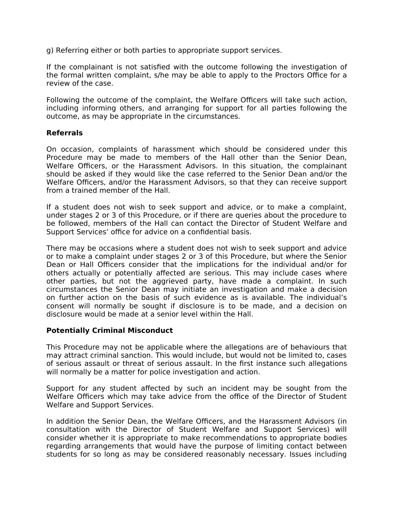g) Referring either or both parties to appropriate support services.

If the complainant is not satisfied with the outcome following the investigation of the formal written complaint, s/he may be able to apply to the Proctors Office for a review of the case.

Following the outcome of the complaint, the Welfare Officers will take such action, including informing others, and arranging for support for all parties following the outcome, as may be appropriate in the circumstances.

### **Referrals**

On occasion, complaints of harassment which should be considered under this Procedure may be made to members of the Hall other than the Senior Dean, Welfare Officers, or the Harassment Advisors. In this situation, the complainant should be asked if they would like the case referred to the Senior Dean and/or the Welfare Officers, and/or the Harassment Advisors, so that they can receive support from a trained member of the Hall.

If a student does not wish to seek support and advice, or to make a complaint, under stages 2 or 3 of this Procedure, or if there are queries about the procedure to be followed, members of the Hall can contact the Director of Student Welfare and Support Services' office for advice on a confidential basis.

There may be occasions where a student does not wish to seek support and advice or to make a complaint under stages 2 or 3 of this Procedure, but where the Senior Dean or Hall Officers consider that the implications for the individual and/or for others actually or potentially affected are serious. This may include cases where other parties, but not the aggrieved party, have made a complaint. In such circumstances the Senior Dean may initiate an investigation and make a decision on further action on the basis of such evidence as is available. The individual's consent will normally be sought if disclosure is to be made, and a decision on disclosure would be made at a senior level within the Hall.

#### **Potentially Criminal Misconduct**

This Procedure may not be applicable where the allegations are of behaviours that may attract criminal sanction. This would include, but would not be limited to, cases of serious assault or threat of serious assault. In the first instance such allegations will normally be a matter for police investigation and action.

Support for any student affected by such an incident may be sought from the Welfare Officers which may take advice from the office of the Director of Student Welfare and Support Services.

In addition the Senior Dean, the Welfare Officers, and the Harassment Advisors (in consultation with the Director of Student Welfare and Support Services) will consider whether it is appropriate to make recommendations to appropriate bodies regarding arrangements that would have the purpose of limiting contact between students for so long as may be considered reasonably necessary. Issues including